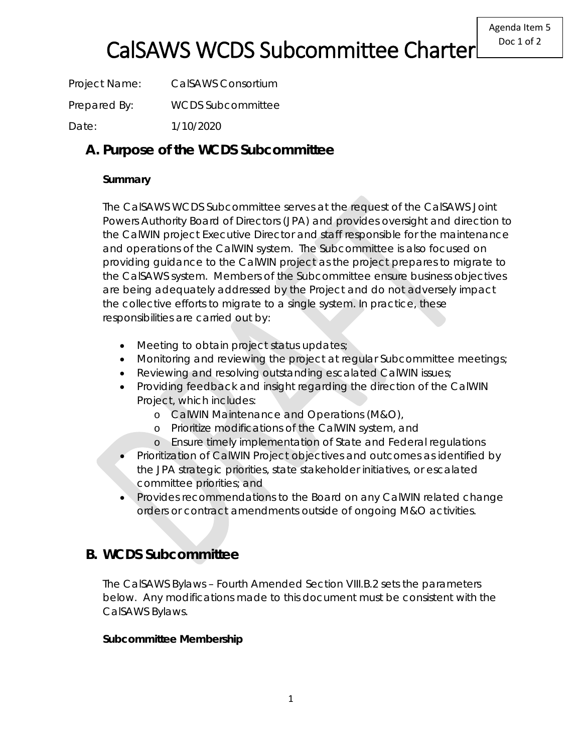Project Name: CalSAWS Consortium Prepared By: WCDS Subcommittee Date: 1/10/2020

## **A. Purpose of the WCDS Subcommittee**

### **Summary**

The CalSAWS WCDS Subcommittee serves at the request of the CalSAWS Joint Powers Authority Board of Directors (JPA) and provides oversight and direction to the CalWIN project Executive Director and staff responsible for the maintenance and operations of the CalWIN system. The Subcommittee is also focused on providing guidance to the CalWIN project as the project prepares to migrate to the CalSAWS system. Members of the Subcommittee ensure business objectives are being adequately addressed by the Project and do not adversely impact the collective efforts to migrate to a single system. In practice, these responsibilities are carried out by:

- Meeting to obtain project status updates;
- Monitoring and reviewing the project at regular Subcommittee meetings;
- Reviewing and resolving outstanding escalated CalWIN issues;
- Providing feedback and insight regarding the direction of the CalWIN Project, which includes:
	- o CalWIN Maintenance and Operations (M&O),
	- o Prioritize modifications of the CalWIN system, and
	- o Ensure timely implementation of State and Federal regulations
- Prioritization of CalWIN Project objectives and outcomes as identified by the JPA strategic priorities, state stakeholder initiatives, or escalated committee priorities; and
- Provides recommendations to the Board on any CalWIN related change orders or contract amendments outside of ongoing M&O activities.

## **B. WCDS Subcommittee**

The CalSAWS Bylaws – Fourth Amended Section VIII.B.2 sets the parameters below. Any modifications made to this document must be consistent with the CalSAWS Bylaws.

#### **Subcommittee Membership**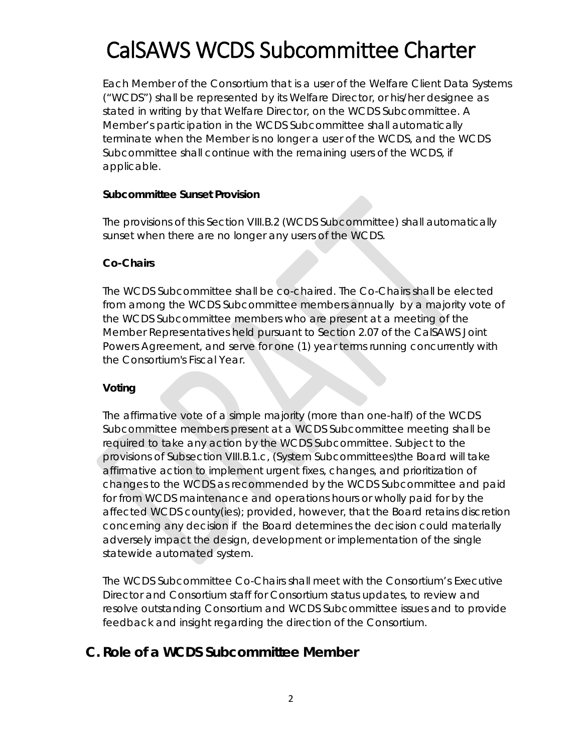Each Member of the Consortium that is a user of the Welfare Client Data Systems ("WCDS") shall be represented by its Welfare Director, or his/her designee as stated in writing by that Welfare Director, on the WCDS Subcommittee. A Member's participation in the WCDS Subcommittee shall automatically terminate when the Member is no longer a user of the WCDS, and the WCDS Subcommittee shall continue with the remaining users of the WCDS, if applicable.

#### **Subcommittee Sunset Provision**

The provisions of this Section VIII.B.2 (WCDS Subcommittee) shall automatically sunset when there are no longer any users of the WCDS.

#### **Co-Chairs**

The WCDS Subcommittee shall be co-chaired. The Co-Chairs shall be elected from among the WCDS Subcommittee members annually by a majority vote of the WCDS Subcommittee members who are present at a meeting of the Member Representatives held pursuant to Section 2.07 of the CalSAWS Joint Powers Agreement, and serve for one (1) year terms running concurrently with the Consortium's Fiscal Year.

#### **Voting**

The affirmative vote of a simple majority (more than one-half) of the WCDS Subcommittee members present at a WCDS Subcommittee meeting shall be required to take any action by the WCDS Subcommittee. Subject to the provisions of Subsection VIII.B.1.c, (System Subcommittees)the Board will take affirmative action to implement urgent fixes, changes, and prioritization of changes to the WCDS as recommended by the WCDS Subcommittee and paid for from WCDS maintenance and operations hours or wholly paid for by the affected WCDS county(ies); provided, however, that the Board retains discretion concerning any decision if the Board determines the decision could materially adversely impact the design, development or implementation of the single statewide automated system.

The WCDS Subcommittee Co-Chairs shall meet with the Consortium's Executive Director and Consortium staff for Consortium status updates, to review and resolve outstanding Consortium and WCDS Subcommittee issues and to provide feedback and insight regarding the direction of the Consortium.

## **C. Role of a WCDS Subcommittee Member**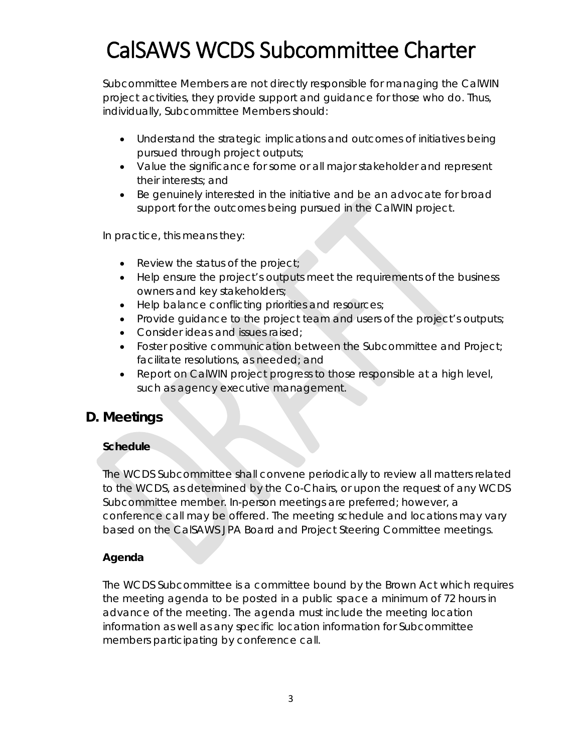Subcommittee Members are not directly responsible for managing the CalWIN project activities, they provide support and guidance for those who do. Thus, individually, Subcommittee Members should:

- Understand the strategic implications and outcomes of initiatives being pursued through project outputs;
- Value the significance for some or all major stakeholder and represent their interests; and
- Be genuinely interested in the initiative and be an advocate for broad support for the outcomes being pursued in the CalWIN project.

In practice, this means they:

- Review the status of the project;
- Help ensure the project's outputs meet the requirements of the business owners and key stakeholders;
- Help balance conflicting priorities and resources;
- Provide guidance to the project team and users of the project's outputs;
- Consider ideas and issues raised;
- Foster positive communication between the Subcommittee and Project; facilitate resolutions, as needed; and
- Report on CalWIN project progress to those responsible at a high level, such as agency executive management.

## **D. Meetings**

### **Schedule**

The WCDS Subcommittee shall convene periodically to review all matters related to the WCDS, as determined by the Co-Chairs, or upon the request of any WCDS Subcommittee member. In-person meetings are preferred; however, a conference call may be offered. The meeting schedule and locations may vary based on the CalSAWS JPA Board and Project Steering Committee meetings.

### **Agenda**

The WCDS Subcommittee is a committee bound by the Brown Act which requires the meeting agenda to be posted in a public space a minimum of 72 hours in advance of the meeting. The agenda must include the meeting location information as well as any specific location information for Subcommittee members participating by conference call.